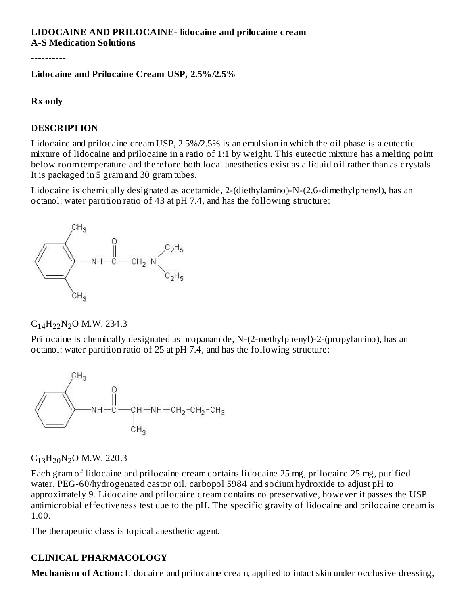#### **LIDOCAINE AND PRILOCAINE- lidocaine and prilocaine cream A-S Medication Solutions**

----------

#### **Lidocaine and Prilocaine Cream USP, 2.5%/2.5%**

#### **Rx only**

#### **DESCRIPTION**

Lidocaine and prilocaine cream USP, 2.5%/2.5% is an emulsion in which the oil phase is a eutectic mixture of lidocaine and prilocaine in a ratio of 1:1 by weight. This eutectic mixture has a melting point below room temperature and therefore both local anesthetics exist as a liquid oil rather than as crystals. It is packaged in 5 gram and 30 gram tubes.

Lidocaine is chemically designated as acetamide, 2-(diethylamino)-N-(2,6-dimethylphenyl), has an octanol: water partition ratio of 43 at pH 7.4, and has the following structure:



# $C_{14}H_{22}N_2O$  M.W. 234.3

Prilocaine is chemically designated as propanamide, N-(2-methylphenyl)-2-(propylamino), has an octanol: water partition ratio of 25 at pH 7.4, and has the following structure:



 $C_{13}H_{20}N_2O$  M.W. 220.3

Each gram of lidocaine and prilocaine cream contains lidocaine 25 mg, prilocaine 25 mg, purified water, PEG-60/hydrogenated castor oil, carbopol 5984 and sodium hydroxide to adjust pH to approximately 9. Lidocaine and prilocaine cream contains no preservative, however it passes the USP antimicrobial effectiveness test due to the pH. The specific gravity of lidocaine and prilocaine cream is 1.00.

The therapeutic class is topical anesthetic agent.

### **CLINICAL PHARMACOLOGY**

**Mechanism of Action:** Lidocaine and prilocaine cream, applied to intact skin under occlusive dressing,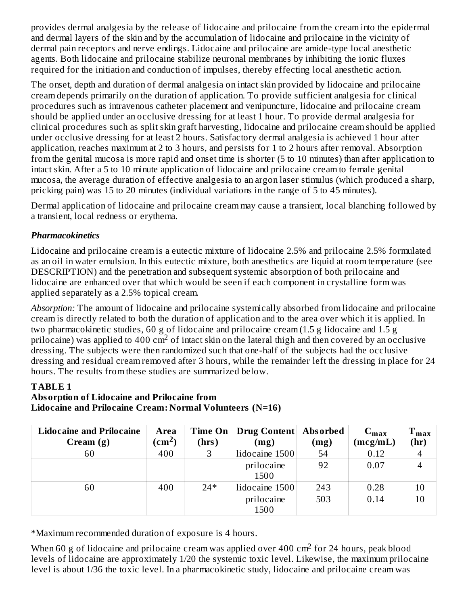provides dermal analgesia by the release of lidocaine and prilocaine from the cream into the epidermal and dermal layers of the skin and by the accumulation of lidocaine and prilocaine in the vicinity of dermal pain receptors and nerve endings. Lidocaine and prilocaine are amide-type local anesthetic agents. Both lidocaine and prilocaine stabilize neuronal membranes by inhibiting the ionic fluxes required for the initiation and conduction of impulses, thereby effecting local anesthetic action.

The onset, depth and duration of dermal analgesia on intact skin provided by lidocaine and prilocaine cream depends primarily on the duration of application. To provide sufficient analgesia for clinical procedures such as intravenous catheter placement and venipuncture, lidocaine and prilocaine cream should be applied under an occlusive dressing for at least 1 hour. To provide dermal analgesia for clinical procedures such as split skin graft harvesting, lidocaine and prilocaine cream should be applied under occlusive dressing for at least 2 hours. Satisfactory dermal analgesia is achieved 1 hour after application, reaches maximum at 2 to 3 hours, and persists for 1 to 2 hours after removal. Absorption from the genital mucosa is more rapid and onset time is shorter (5 to 10 minutes) than after application to intact skin. After a 5 to 10 minute application of lidocaine and prilocaine cream to female genital mucosa, the average duration of effective analgesia to an argon laser stimulus (which produced a sharp, pricking pain) was 15 to 20 minutes (individual variations in the range of 5 to 45 minutes).

Dermal application of lidocaine and prilocaine cream may cause a transient, local blanching followed by a transient, local redness or erythema.

# *Pharmacokinetics*

Lidocaine and prilocaine cream is a eutectic mixture of lidocaine 2.5% and prilocaine 2.5% formulated as an oil in water emulsion. In this eutectic mixture, both anesthetics are liquid at room temperature (see DESCRIPTION) and the penetration and subsequent systemic absorption of both prilocaine and lidocaine are enhanced over that which would be seen if each component in crystalline form was applied separately as a 2.5% topical cream.

*Absorption:* The amount of lidocaine and prilocaine systemically absorbed from lidocaine and prilocaine cream is directly related to both the duration of application and to the area over which it is applied. In two pharmacokinetic studies, 60 g of lidocaine and prilocaine cream (1.5 g lidocaine and 1.5 g prilocaine) was applied to 400 cm<sup>2</sup> of intact skin on the lateral thigh and then covered by an occlusive dressing. The subjects were then randomized such that one-half of the subjects had the occlusive dressing and residual cream removed after 3 hours, while the remainder left the dressing in place for 24 hours. The results from these studies are summarized below.

# **TABLE 1**

### **Absorption of Lidocaine and Prilocaine from Lidocaine and Prilocaine Cream: Normal Volunteers (N=16)**

| <b>Lidocaine and Prilocaine</b><br>$C$ ream $(g)$ | Area<br>$\rm (cm^2)$ | Time On<br>(hrs) | Drug Content   Absorbed<br>(mg) | (mg) | $C_{\rm max}$<br>(mcg/mL) | т.<br>⊥ max<br>(hr) |
|---------------------------------------------------|----------------------|------------------|---------------------------------|------|---------------------------|---------------------|
| 60                                                | 400                  |                  | lidocaine 1500                  | 54   | 0.12                      |                     |
|                                                   |                      |                  | prilocaine<br>1500              | 92   | 0.07                      |                     |
| 60                                                | 400                  | $24*$            | lidocaine 1500                  | 243  | 0.28                      | 10                  |
|                                                   |                      |                  | prilocaine<br>1500              | 503  | 0.14                      | 10                  |

\*Maximum recommended duration of exposure is 4 hours.

When 60 g of lidocaine and prilocaine cream was applied over 400  $\rm cm^2$  for 24 hours, peak blood levels of lidocaine are approximately 1/20 the systemic toxic level. Likewise, the maximum prilocaine level is about 1/36 the toxic level. In a pharmacokinetic study, lidocaine and prilocaine cream was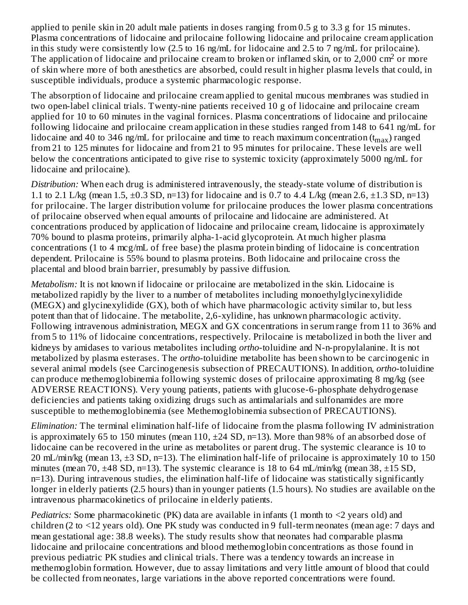applied to penile skin in 20 adult male patients in doses ranging from 0.5 g to 3.3 g for 15 minutes. Plasma concentrations of lidocaine and prilocaine following lidocaine and prilocaine cream application in this study were consistently low (2.5 to 16 ng/mL for lidocaine and 2.5 to 7 ng/mL for prilocaine). The application of lidocaine and prilocaine cream to broken or inflamed skin, or to 2,000 cm<sup>2</sup> or more of skin where more of both anesthetics are absorbed, could result in higher plasma levels that could, in susceptible individuals, produce a systemic pharmacologic response.

The absorption of lidocaine and prilocaine cream applied to genital mucous membranes was studied in two open-label clinical trials. Twenty-nine patients received 10 g of lidocaine and prilocaine cream applied for 10 to 60 minutes in the vaginal fornices. Plasma concentrations of lidocaine and prilocaine following lidocaine and prilocaine cream application in these studies ranged from 148 to 641 ng/mL for lidocaine and 40 to 346 ng/mL for prilocaine and time to reach maximum concentration  $\rm(t_{max})$  ranged from 21 to 125 minutes for lidocaine and from 21 to 95 minutes for prilocaine. These levels are well below the concentrations anticipated to give rise to systemic toxicity (approximately 5000 ng/mL for lidocaine and prilocaine).

*Distribution:* When each drug is administered intravenously, the steady-state volume of distribution is 1.1 to 2.1 L/kg (mean 1.5,  $\pm$ 0.3 SD, n=13) for lidocaine and is 0.7 to 4.4 L/kg (mean 2.6,  $\pm$ 1.3 SD, n=13) for prilocaine. The larger distribution volume for prilocaine produces the lower plasma concentrations of prilocaine observed when equal amounts of prilocaine and lidocaine are administered. At concentrations produced by application of lidocaine and prilocaine cream, lidocaine is approximately 70% bound to plasma proteins, primarily alpha-1-acid glycoprotein. At much higher plasma concentrations (1 to 4 mcg/mL of free base) the plasma protein binding of lidocaine is concentration dependent. Prilocaine is 55% bound to plasma proteins. Both lidocaine and prilocaine cross the placental and blood brain barrier, presumably by passive diffusion.

*Metabolism:* It is not known if lidocaine or prilocaine are metabolized in the skin. Lidocaine is metabolized rapidly by the liver to a number of metabolites including monoethylglycinexylidide (MEGX) and glycinexylidide (GX), both of which have pharmacologic activity similar to, but less potent than that of lidocaine. The metabolite, 2,6-xylidine, has unknown pharmacologic activity. Following intravenous administration, MEGX and GX concentrations in serum range from 11 to 36% and from 5 to 11% of lidocaine concentrations, respectively. Prilocaine is metabolized in both the liver and kidneys by amidases to various metabolites including *ortho*-toluidine and N-n-propylalanine. It is not metabolized by plasma esterases. The *ortho*-toluidine metabolite has been shown to be carcinogenic in several animal models (see Carcinogenesis subsection of PRECAUTIONS). In addition, *ortho*-toluidine can produce methemoglobinemia following systemic doses of prilocaine approximating 8 mg/kg (see ADVERSE REACTIONS). Very young patients, patients with glucose-6-phosphate dehydrogenase deficiencies and patients taking oxidizing drugs such as antimalarials and sulfonamides are more susceptible to methemoglobinemia (see Methemoglobinemia subsection of PRECAUTIONS).

*Elimination:* The terminal elimination half-life of lidocaine from the plasma following IV administration is approximately 65 to 150 minutes (mean 110, ±24 SD, n=13). More than 98% of an absorbed dose of lidocaine can be recovered in the urine as metabolites or parent drug. The systemic clearance is 10 to 20 mL/min/kg (mean 13, ±3 SD, n=13). The elimination half-life of prilocaine is approximately 10 to 150 minutes (mean 70, ±48 SD, n=13). The systemic clearance is 18 to 64 mL/min/kg (mean 38, ±15 SD, n=13). During intravenous studies, the elimination half-life of lidocaine was statistically significantly longer in elderly patients (2.5 hours) than in younger patients (1.5 hours). No studies are available on the intravenous pharmacokinetics of prilocaine in elderly patients.

*Pediatrics:* Some pharmacokinetic (PK) data are available in infants (1 month to <2 years old) and children (2 to <12 years old). One PK study was conducted in 9 full-term neonates (mean age: 7 days and mean gestational age: 38.8 weeks). The study results show that neonates had comparable plasma lidocaine and prilocaine concentrations and blood methemoglobin concentrations as those found in previous pediatric PK studies and clinical trials. There was a tendency towards an increase in methemoglobin formation. However, due to assay limitations and very little amount of blood that could be collected from neonates, large variations in the above reported concentrations were found.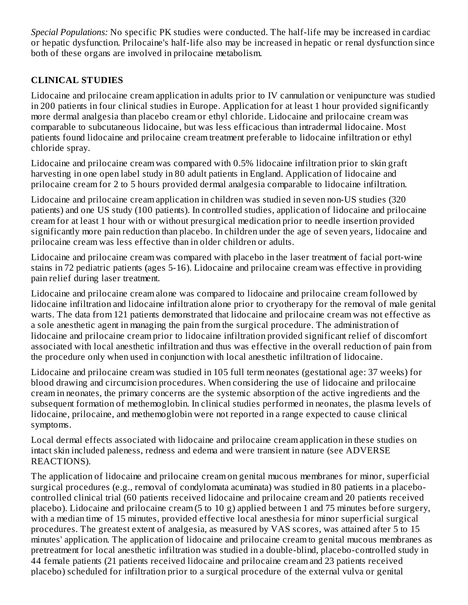*Special Populations:* No specific PK studies were conducted. The half-life may be increased in cardiac or hepatic dysfunction. Prilocaine's half-life also may be increased in hepatic or renal dysfunction since both of these organs are involved in prilocaine metabolism.

# **CLINICAL STUDIES**

Lidocaine and prilocaine cream application in adults prior to IV cannulation or venipuncture was studied in 200 patients in four clinical studies in Europe. Application for at least 1 hour provided significantly more dermal analgesia than placebo cream or ethyl chloride. Lidocaine and prilocaine cream was comparable to subcutaneous lidocaine, but was less efficacious than intradermal lidocaine. Most patients found lidocaine and prilocaine cream treatment preferable to lidocaine infiltration or ethyl chloride spray.

Lidocaine and prilocaine cream was compared with 0.5% lidocaine infiltration prior to skin graft harvesting in one open label study in 80 adult patients in England. Application of lidocaine and prilocaine cream for 2 to 5 hours provided dermal analgesia comparable to lidocaine infiltration.

Lidocaine and prilocaine cream application in children was studied in seven non-US studies (320 patients) and one US study (100 patients). In controlled studies, application of lidocaine and prilocaine cream for at least 1 hour with or without presurgical medication prior to needle insertion provided significantly more pain reduction than placebo. In children under the age of seven years, lidocaine and prilocaine cream was less effective than in older children or adults.

Lidocaine and prilocaine cream was compared with placebo in the laser treatment of facial port-wine stains in 72 pediatric patients (ages 5-16). Lidocaine and prilocaine cream was effective in providing pain relief during laser treatment.

Lidocaine and prilocaine cream alone was compared to lidocaine and prilocaine cream followed by lidocaine infiltration and lidocaine infiltration alone prior to cryotherapy for the removal of male genital warts. The data from 121 patients demonstrated that lidocaine and prilocaine cream was not effective as a sole anesthetic agent in managing the pain from the surgical procedure. The administration of lidocaine and prilocaine cream prior to lidocaine infiltration provided significant relief of discomfort associated with local anesthetic infiltration and thus was effective in the overall reduction of pain from the procedure only when used in conjunction with local anesthetic infiltration of lidocaine.

Lidocaine and prilocaine cream was studied in 105 full term neonates (gestational age: 37 weeks) for blood drawing and circumcision procedures. When considering the use of lidocaine and prilocaine cream in neonates, the primary concerns are the systemic absorption of the active ingredients and the subsequent formation of methemoglobin. In clinical studies performed in neonates, the plasma levels of lidocaine, prilocaine, and methemoglobin were not reported in a range expected to cause clinical symptoms.

Local dermal effects associated with lidocaine and prilocaine cream application in these studies on intact skin included paleness, redness and edema and were transient in nature (see ADVERSE REACTIONS).

The application of lidocaine and prilocaine cream on genital mucous membranes for minor, superficial surgical procedures (e.g., removal of condylomata acuminata) was studied in 80 patients in a placebocontrolled clinical trial (60 patients received lidocaine and prilocaine cream and 20 patients received placebo). Lidocaine and prilocaine cream (5 to 10 g) applied between 1 and 75 minutes before surgery, with a median time of 15 minutes, provided effective local anesthesia for minor superficial surgical procedures. The greatest extent of analgesia, as measured by VAS scores, was attained after 5 to 15 minutes' application. The application of lidocaine and prilocaine cream to genital mucous membranes as pretreatment for local anesthetic infiltration was studied in a double-blind, placebo-controlled study in 44 female patients (21 patients received lidocaine and prilocaine cream and 23 patients received placebo) scheduled for infiltration prior to a surgical procedure of the external vulva or genital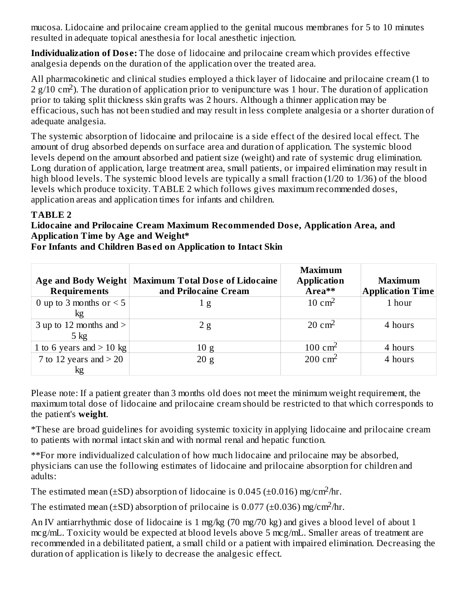mucosa. Lidocaine and prilocaine cream applied to the genital mucous membranes for 5 to 10 minutes resulted in adequate topical anesthesia for local anesthetic injection.

**Individualization of Dos e:** The dose of lidocaine and prilocaine cream which provides effective analgesia depends on the duration of the application over the treated area.

All pharmacokinetic and clinical studies employed a thick layer of lidocaine and prilocaine cream (1 to  $2$  g/10 cm<sup>2</sup>). The duration of application prior to venipuncture was 1 hour. The duration of application prior to taking split thickness skin grafts was 2 hours. Although a thinner application may be efficacious, such has not been studied and may result in less complete analgesia or a shorter duration of adequate analgesia.

The systemic absorption of lidocaine and prilocaine is a side effect of the desired local effect. The amount of drug absorbed depends on surface area and duration of application. The systemic blood levels depend on the amount absorbed and patient size (weight) and rate of systemic drug elimination. Long duration of application, large treatment area, small patients, or impaired elimination may result in high blood levels. The systemic blood levels are typically a small fraction (1/20 to 1/36) of the blood levels which produce toxicity. TABLE 2 which follows gives maximum recommended doses, application areas and application times for infants and children.

## **TABLE 2**

#### **Lidocaine and Prilocaine Cream Maximum Recommended Dos e, Application Area, and Application Time by Age and Weight\***

| <b>Requirements</b>                         | Age and Body Weight   Maximum Total Dose of Lidocaine<br>and Prilocaine Cream | <b>Maximum</b><br><b>Application</b><br>Area** | <b>Maximum</b><br><b>Application Time</b> |
|---------------------------------------------|-------------------------------------------------------------------------------|------------------------------------------------|-------------------------------------------|
| 0 up to 3 months or $<$ 5<br>kg             | 1g                                                                            | $10 \text{ cm}^2$                              | 1 hour                                    |
| 3 up to 12 months and $>$<br>$5 \text{ kg}$ | 2g                                                                            | $20 \text{ cm}^2$                              | 4 hours                                   |
| 1 to 6 years and $>$ 10 kg                  | 10 g                                                                          | $100 \text{ cm}^2$                             | 4 hours                                   |
| 7 to 12 years and $>$ 20<br>kg              | 20 g                                                                          | $200 \text{ cm}^2$                             | 4 hours                                   |

**For Infants and Children Bas ed on Application to Intact Skin**

Please note: If a patient greater than 3 months old does not meet the minimum weight requirement, the maximum total dose of lidocaine and prilocaine cream should be restricted to that which corresponds to the patient's **weight**.

\*These are broad guidelines for avoiding systemic toxicity in applying lidocaine and prilocaine cream to patients with normal intact skin and with normal renal and hepatic function.

\*\*For more individualized calculation of how much lidocaine and prilocaine may be absorbed, physicians can use the following estimates of lidocaine and prilocaine absorption for children and adults:

The estimated mean ( $\pm$ SD) absorption of lidocaine is 0.045 ( $\pm$ 0.016) mg/cm<sup>2</sup>/hr.

The estimated mean ( $\pm$ SD) absorption of prilocaine is 0.077 ( $\pm$ 0.036) mg/cm<sup>2</sup>/hr.

An IV antiarrhythmic dose of lidocaine is 1 mg/kg (70 mg/70 kg) and gives a blood level of about 1 mcg/mL. Toxicity would be expected at blood levels above 5 mcg/mL. Smaller areas of treatment are recommended in a debilitated patient, a small child or a patient with impaired elimination. Decreasing the duration of application is likely to decrease the analgesic effect.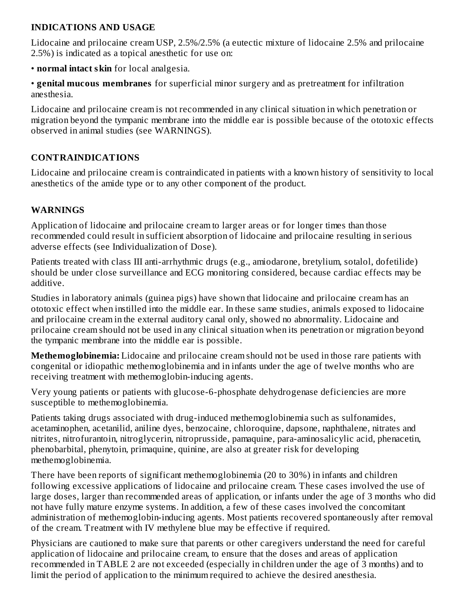### **INDICATIONS AND USAGE**

Lidocaine and prilocaine cream USP, 2.5%/2.5% (a eutectic mixture of lidocaine 2.5% and prilocaine 2.5%) is indicated as a topical anesthetic for use on:

• **normal intact skin** for local analgesia.

• **genital mucous membranes** for superficial minor surgery and as pretreatment for infiltration anesthesia.

Lidocaine and prilocaine cream is not recommended in any clinical situation in which penetration or migration beyond the tympanic membrane into the middle ear is possible because of the ototoxic effects observed in animal studies (see WARNINGS).

## **CONTRAINDICATIONS**

Lidocaine and prilocaine cream is contraindicated in patients with a known history of sensitivity to local anesthetics of the amide type or to any other component of the product.

## **WARNINGS**

Application of lidocaine and prilocaine cream to larger areas or for longer times than those recommended could result in sufficient absorption of lidocaine and prilocaine resulting in serious adverse effects (see Individualization of Dose).

Patients treated with class III anti-arrhythmic drugs (e.g., amiodarone, bretylium, sotalol, dofetilide) should be under close surveillance and ECG monitoring considered, because cardiac effects may be additive.

Studies in laboratory animals (guinea pigs) have shown that lidocaine and prilocaine cream has an ototoxic effect when instilled into the middle ear. In these same studies, animals exposed to lidocaine and prilocaine cream in the external auditory canal only, showed no abnormality. Lidocaine and prilocaine cream should not be used in any clinical situation when its penetration or migration beyond the tympanic membrane into the middle ear is possible.

**Methemoglobinemia:** Lidocaine and prilocaine cream should not be used in those rare patients with congenital or idiopathic methemoglobinemia and in infants under the age of twelve months who are receiving treatment with methemoglobin-inducing agents.

Very young patients or patients with glucose-6-phosphate dehydrogenase deficiencies are more susceptible to methemoglobinemia.

Patients taking drugs associated with drug-induced methemoglobinemia such as sulfonamides, acetaminophen, acetanilid, aniline dyes, benzocaine, chloroquine, dapsone, naphthalene, nitrates and nitrites, nitrofurantoin, nitroglycerin, nitroprusside, pamaquine, para-aminosalicylic acid, phenacetin, phenobarbital, phenytoin, primaquine, quinine, are also at greater risk for developing methemoglobinemia.

There have been reports of significant methemoglobinemia (20 to 30%) in infants and children following excessive applications of lidocaine and prilocaine cream. These cases involved the use of large doses, larger than recommended areas of application, or infants under the age of 3 months who did not have fully mature enzyme systems. In addition, a few of these cases involved the concomitant administration of methemoglobin-inducing agents. Most patients recovered spontaneously after removal of the cream. Treatment with IV methylene blue may be effective if required.

Physicians are cautioned to make sure that parents or other caregivers understand the need for careful application of lidocaine and prilocaine cream, to ensure that the doses and areas of application recommended in TABLE 2 are not exceeded (especially in children under the age of 3 months) and to limit the period of application to the minimum required to achieve the desired anesthesia.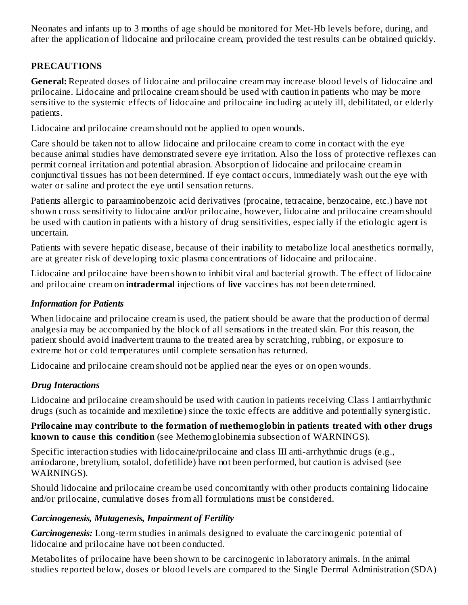Neonates and infants up to 3 months of age should be monitored for Met-Hb levels before, during, and after the application of lidocaine and prilocaine cream, provided the test results can be obtained quickly.

### **PRECAUTIONS**

**General:** Repeated doses of lidocaine and prilocaine cream may increase blood levels of lidocaine and prilocaine. Lidocaine and prilocaine cream should be used with caution in patients who may be more sensitive to the systemic effects of lidocaine and prilocaine including acutely ill, debilitated, or elderly patients.

Lidocaine and prilocaine cream should not be applied to open wounds.

Care should be taken not to allow lidocaine and prilocaine cream to come in contact with the eye because animal studies have demonstrated severe eye irritation. Also the loss of protective reflexes can permit corneal irritation and potential abrasion. Absorption of lidocaine and prilocaine cream in conjunctival tissues has not been determined. If eye contact occurs, immediately wash out the eye with water or saline and protect the eye until sensation returns.

Patients allergic to paraaminobenzoic acid derivatives (procaine, tetracaine, benzocaine, etc.) have not shown cross sensitivity to lidocaine and/or prilocaine, however, lidocaine and prilocaine cream should be used with caution in patients with a history of drug sensitivities, especially if the etiologic agent is uncertain.

Patients with severe hepatic disease, because of their inability to metabolize local anesthetics normally, are at greater risk of developing toxic plasma concentrations of lidocaine and prilocaine.

Lidocaine and prilocaine have been shown to inhibit viral and bacterial growth. The effect of lidocaine and prilocaine cream on **intradermal** injections of **live** vaccines has not been determined.

### *Information for Patients*

When lidocaine and prilocaine cream is used, the patient should be aware that the production of dermal analgesia may be accompanied by the block of all sensations in the treated skin. For this reason, the patient should avoid inadvertent trauma to the treated area by scratching, rubbing, or exposure to extreme hot or cold temperatures until complete sensation has returned.

Lidocaine and prilocaine cream should not be applied near the eyes or on open wounds.

### *Drug Interactions*

Lidocaine and prilocaine cream should be used with caution in patients receiving Class I antiarrhythmic drugs (such as tocainide and mexiletine) since the toxic effects are additive and potentially synergistic.

#### **Prilocaine may contribute to the formation of methemoglobin in patients treated with other drugs known to caus e this condition** (see Methemoglobinemia subsection of WARNINGS).

Specific interaction studies with lidocaine/prilocaine and class III anti-arrhythmic drugs (e.g., amiodarone, bretylium, sotalol, dofetilide) have not been performed, but caution is advised (see WARNINGS).

Should lidocaine and prilocaine cream be used concomitantly with other products containing lidocaine and/or prilocaine, cumulative doses from all formulations must be considered.

### *Carcinogenesis, Mutagenesis, Impairment of Fertility*

*Carcinogenesis:* Long-term studies in animals designed to evaluate the carcinogenic potential of lidocaine and prilocaine have not been conducted.

Metabolites of prilocaine have been shown to be carcinogenic in laboratory animals. In the animal studies reported below, doses or blood levels are compared to the Single Dermal Administration (SDA)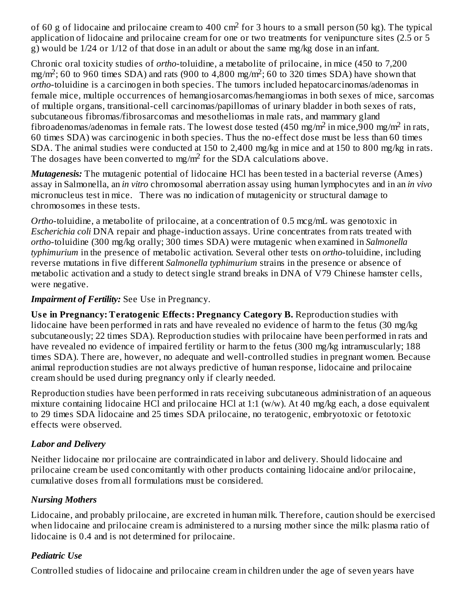of 60 g of lidocaine and prilocaine cream to 400 cm<sup>2</sup> for 3 hours to a small person (50 kg). The typical application of lidocaine and prilocaine cream for one or two treatments for venipuncture sites (2.5 or 5 g) would be 1/24 or 1/12 of that dose in an adult or about the same mg/kg dose in an infant.

Chronic oral toxicity studies of *ortho*-toluidine, a metabolite of prilocaine, in mice (450 to 7,200 mg/m<sup>2</sup>; 60 to 960 times SDA) and rats (900 to 4,800 mg/m<sup>2</sup>; 60 to 320 times SDA) have shown that *ortho*-toluidine is a carcinogen in both species. The tumors included hepatocarcinomas/adenomas in female mice, multiple occurrences of hemangiosarcomas/hemangiomas in both sexes of mice, sarcomas of multiple organs, transitional-cell carcinomas/papillomas of urinary bladder in both sexes of rats, subcutaneous fibromas/fibrosarcomas and mesotheliomas in male rats, and mammary gland fibroadenomas/adenomas in female rats. The lowest dose tested (450 mg/m<sup>2</sup> in mice,900 mg/m<sup>2</sup> in rats, 60 times SDA) was carcinogenic in both species. Thus the no-effect dose must be less than 60 times SDA. The animal studies were conducted at 150 to 2,400 mg/kg in mice and at 150 to 800 mg/kg in rats. The dosages have been converted to mg/m<sup>2</sup> for the SDA calculations above.

*Mutagenesis:* The mutagenic potential of lidocaine HCl has been tested in a bacterial reverse (Ames) assay in Salmonella, an *in vitro* chromosomal aberration assay using human lymphocytes and in an *in vivo* micronucleus test in mice. There was no indication of mutagenicity or structural damage to chromosomes in these tests.

*Ortho*-toluidine, a metabolite of prilocaine, at a concentration of 0.5 mcg/mL was genotoxic in *Escherichia coli* DNA repair and phage-induction assays. Urine concentrates from rats treated with *ortho*-toluidine (300 mg/kg orally; 300 times SDA) were mutagenic when examined in *Salmonella typhimurium* in the presence of metabolic activation. Several other tests on *ortho*-toluidine, including reverse mutations in five different *Salmonella typhimurium* strains in the presence or absence of metabolic activation and a study to detect single strand breaks in DNA of V79 Chinese hamster cells, were negative.

### *Impairment of Fertility:* See Use in Pregnancy.

**Us e in Pregnancy: Teratogenic Effects: Pregnancy Category B.** Reproduction studies with lidocaine have been performed in rats and have revealed no evidence of harm to the fetus (30 mg/kg subcutaneously; 22 times SDA). Reproduction studies with prilocaine have been performed in rats and have revealed no evidence of impaired fertility or harm to the fetus (300 mg/kg intramuscularly; 188 times SDA). There are, however, no adequate and well-controlled studies in pregnant women. Because animal reproduction studies are not always predictive of human response, lidocaine and prilocaine cream should be used during pregnancy only if clearly needed.

Reproduction studies have been performed in rats receiving subcutaneous administration of an aqueous mixture containing lidocaine HCl and prilocaine HCl at 1:1 (w/w). At 40 mg/kg each, a dose equivalent to 29 times SDA lidocaine and 25 times SDA prilocaine, no teratogenic, embryotoxic or fetotoxic effects were observed.

# *Labor and Delivery*

Neither lidocaine nor prilocaine are contraindicated in labor and delivery. Should lidocaine and prilocaine cream be used concomitantly with other products containing lidocaine and/or prilocaine, cumulative doses from all formulations must be considered.

# *Nursing Mothers*

Lidocaine, and probably prilocaine, are excreted in human milk. Therefore, caution should be exercised when lidocaine and prilocaine cream is administered to a nursing mother since the milk: plasma ratio of lidocaine is 0.4 and is not determined for prilocaine.

# *Pediatric Use*

Controlled studies of lidocaine and prilocaine cream in children under the age of seven years have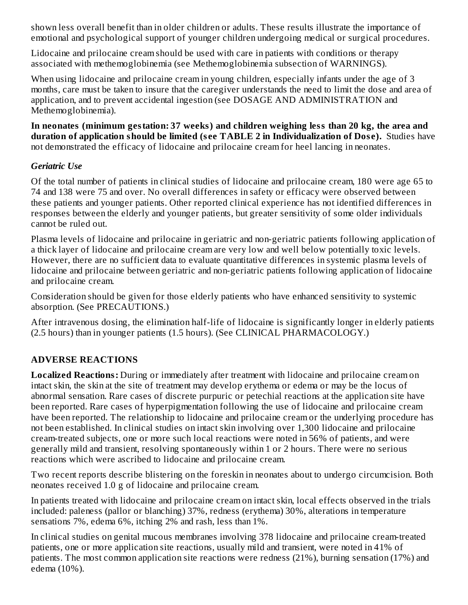shown less overall benefit than in older children or adults. These results illustrate the importance of emotional and psychological support of younger children undergoing medical or surgical procedures.

Lidocaine and prilocaine cream should be used with care in patients with conditions or therapy associated with methemoglobinemia (see Methemoglobinemia subsection of WARNINGS).

When using lidocaine and prilocaine cream in young children, especially infants under the age of 3 months, care must be taken to insure that the caregiver understands the need to limit the dose and area of application, and to prevent accidental ingestion (see DOSAGE AND ADMINISTRATION and Methemoglobinemia).

**In neonates (minimum gestation: 37 weeks) and children weighing less than 20 kg, the area and duration of application should be limited (s ee TABLE 2 in Individualization of Dos e).** Studies have not demonstrated the efficacy of lidocaine and prilocaine cream for heel lancing in neonates.

## *Geriatric Use*

Of the total number of patients in clinical studies of lidocaine and prilocaine cream, 180 were age 65 to 74 and 138 were 75 and over. No overall differences in safety or efficacy were observed between these patients and younger patients. Other reported clinical experience has not identified differences in responses between the elderly and younger patients, but greater sensitivity of some older individuals cannot be ruled out.

Plasma levels of lidocaine and prilocaine in geriatric and non-geriatric patients following application of a thick layer of lidocaine and prilocaine cream are very low and well below potentially toxic levels. However, there are no sufficient data to evaluate quantitative differences in systemic plasma levels of lidocaine and prilocaine between geriatric and non-geriatric patients following application of lidocaine and prilocaine cream.

Consideration should be given for those elderly patients who have enhanced sensitivity to systemic absorption. (See PRECAUTIONS.)

After intravenous dosing, the elimination half-life of lidocaine is significantly longer in elderly patients (2.5 hours) than in younger patients (1.5 hours). (See CLINICAL PHARMACOLOGY.)

# **ADVERSE REACTIONS**

**Localized Reactions:** During or immediately after treatment with lidocaine and prilocaine cream on intact skin, the skin at the site of treatment may develop erythema or edema or may be the locus of abnormal sensation. Rare cases of discrete purpuric or petechial reactions at the application site have been reported. Rare cases of hyperpigmentation following the use of lidocaine and prilocaine cream have been reported. The relationship to lidocaine and prilocaine cream or the underlying procedure has not been established. In clinical studies on intact skin involving over 1,300 lidocaine and prilocaine cream-treated subjects, one or more such local reactions were noted in 56% of patients, and were generally mild and transient, resolving spontaneously within 1 or 2 hours. There were no serious reactions which were ascribed to lidocaine and prilocaine cream.

Two recent reports describe blistering on the foreskin in neonates about to undergo circumcision. Both neonates received 1.0 g of lidocaine and prilocaine cream.

In patients treated with lidocaine and prilocaine cream on intact skin, local effects observed in the trials included: paleness (pallor or blanching) 37%, redness (erythema) 30%, alterations in temperature sensations 7%, edema 6%, itching 2% and rash, less than 1%.

In clinical studies on genital mucous membranes involving 378 lidocaine and prilocaine cream-treated patients, one or more application site reactions, usually mild and transient, were noted in 41% of patients. The most common application site reactions were redness (21%), burning sensation (17%) and edema (10%).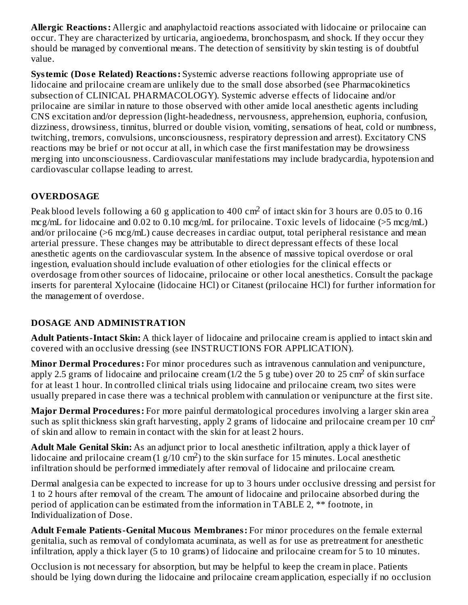**Allergic Reactions:** Allergic and anaphylactoid reactions associated with lidocaine or prilocaine can occur. They are characterized by urticaria, angioedema, bronchospasm, and shock. If they occur they should be managed by conventional means. The detection of sensitivity by skin testing is of doubtful value.

**Systemic (Dos e Related) Reactions:** Systemic adverse reactions following appropriate use of lidocaine and prilocaine cream are unlikely due to the small dose absorbed (see Pharmacokinetics subsection of CLINICAL PHARMACOLOGY). Systemic adverse effects of lidocaine and/or prilocaine are similar in nature to those observed with other amide local anesthetic agents including CNS excitation and/or depression (light-headedness, nervousness, apprehension, euphoria, confusion, dizziness, drowsiness, tinnitus, blurred or double vision, vomiting, sensations of heat, cold or numbness, twitching, tremors, convulsions, unconsciousness, respiratory depression and arrest). Excitatory CNS reactions may be brief or not occur at all, in which case the first manifestation may be drowsiness merging into unconsciousness. Cardiovascular manifestations may include bradycardia, hypotension and cardiovascular collapse leading to arrest.

# **OVERDOSAGE**

Peak blood levels following a 60 g application to 400  $\rm cm^2$  of intact skin for 3 hours are 0.05 to 0.16 mcg/mL for lidocaine and 0.02 to 0.10 mcg/mL for prilocaine. Toxic levels of lidocaine (>5 mcg/mL) and/or prilocaine (>6 mcg/mL) cause decreases in cardiac output, total peripheral resistance and mean arterial pressure. These changes may be attributable to direct depressant effects of these local anesthetic agents on the cardiovascular system. In the absence of massive topical overdose or oral ingestion, evaluation should include evaluation of other etiologies for the clinical effects or overdosage from other sources of lidocaine, prilocaine or other local anesthetics. Consult the package inserts for parenteral Xylocaine (lidocaine HCl) or Citanest (prilocaine HCl) for further information for the management of overdose.

# **DOSAGE AND ADMINISTRATION**

**Adult Patients-Intact Skin:** A thick layer of lidocaine and prilocaine cream is applied to intact skin and covered with an occlusive dressing (see INSTRUCTIONS FOR APPLICATION).

**Minor Dermal Procedures:** For minor procedures such as intravenous cannulation and venipuncture, apply 2.5 grams of lidocaine and prilocaine cream (1/2 the 5 g tube) over 20 to 25 cm<sup>2</sup> of skin surface for at least 1 hour. In controlled clinical trials using lidocaine and prilocaine cream, two sites were usually prepared in case there was a technical problem with cannulation or venipuncture at the first site.

**Major Dermal Procedures:** For more painful dermatological procedures involving a larger skin area such as split thickness skin graft harvesting, apply 2 grams of lidocaine and prilocaine cream per 10 cm<sup>2</sup> of skin and allow to remain in contact with the skin for at least 2 hours.

**Adult Male Genital Skin:** As an adjunct prior to local anesthetic infiltration, apply a thick layer of lidocaine and prilocaine cream  $(1 g/10 cm^2)$  to the skin surface for 15 minutes. Local anesthetic infiltration should be performed immediately after removal of lidocaine and prilocaine cream.

Dermal analgesia can be expected to increase for up to 3 hours under occlusive dressing and persist for 1 to 2 hours after removal of the cream. The amount of lidocaine and prilocaine absorbed during the period of application can be estimated from the information in TABLE 2, \*\* footnote, in Individualization of Dose.

**Adult Female Patients-Genital Mucous Membranes:** For minor procedures on the female external genitalia, such as removal of condylomata acuminata, as well as for use as pretreatment for anesthetic infiltration, apply a thick layer (5 to 10 grams) of lidocaine and prilocaine cream for 5 to 10 minutes.

Occlusion is not necessary for absorption, but may be helpful to keep the cream in place. Patients should be lying down during the lidocaine and prilocaine cream application, especially if no occlusion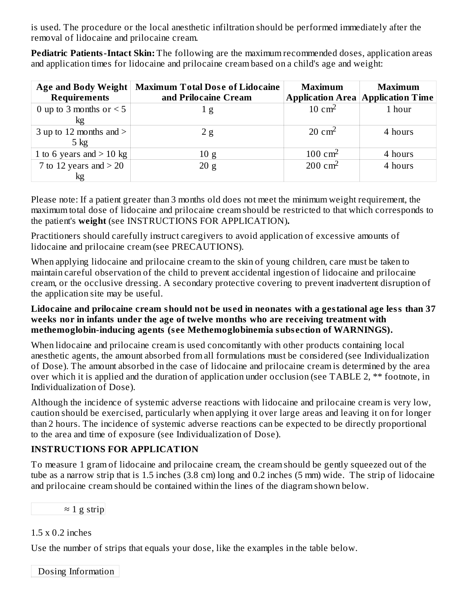is used. The procedure or the local anesthetic infiltration should be performed immediately after the removal of lidocaine and prilocaine cream.

**Pediatric Patients-Intact Skin:** The following are the maximum recommended doses, application areas and application times for lidocaine and prilocaine cream based on a child's age and weight:

| Age and Body Weight<br><b>Requirements</b>    | <b>Maximum Total Dose of Lidocaine</b><br>and Prilocaine Cream | <b>Maximum</b>     | <b>Maximum</b><br><b>Application Area Application Time</b> |
|-----------------------------------------------|----------------------------------------------------------------|--------------------|------------------------------------------------------------|
| 0 up to 3 months or $<$ 5<br>kg               | 1 <sub>g</sub>                                                 | $10 \text{ cm}^2$  | 1 hour                                                     |
| 3 up to 12 months and $>$  <br>$5 \text{ kg}$ | 2g                                                             | $20 \text{ cm}^2$  | 4 hours                                                    |
| 1 to 6 years and $>$ 10 kg                    | 10 g                                                           | $100 \text{ cm}^2$ | 4 hours                                                    |
| 7 to 12 years and $>$ 20<br>kg                | 20 g                                                           | $200 \text{ cm}^2$ | 4 hours                                                    |

Please note: If a patient greater than 3 months old does not meet the minimum weight requirement, the maximum total dose of lidocaine and prilocaine cream should be restricted to that which corresponds to the patient's **weight** (see INSTRUCTIONS FOR APPLICATION)**.**

Practitioners should carefully instruct caregivers to avoid application of excessive amounts of lidocaine and prilocaine cream (see PRECAUTIONS).

When applying lidocaine and prilocaine cream to the skin of young children, care must be taken to maintain careful observation of the child to prevent accidental ingestion of lidocaine and prilocaine cream, or the occlusive dressing. A secondary protective covering to prevent inadvertent disruption of the application site may be useful.

#### **Lidocaine and prilocaine cream should not be us ed in neonates with a gestational age less than 37 weeks nor in infants under the age of twelve months who are receiving treatment with methemoglobin-inducing agents (s ee Methemoglobinemia subs ection of WARNINGS).**

When lidocaine and prilocaine cream is used concomitantly with other products containing local anesthetic agents, the amount absorbed from all formulations must be considered (see Individualization of Dose). The amount absorbed in the case of lidocaine and prilocaine cream is determined by the area over which it is applied and the duration of application under occlusion (see TABLE 2, \*\* footnote, in Individualization of Dose).

Although the incidence of systemic adverse reactions with lidocaine and prilocaine cream is very low, caution should be exercised, particularly when applying it over large areas and leaving it on for longer than 2 hours. The incidence of systemic adverse reactions can be expected to be directly proportional to the area and time of exposure (see Individualization of Dose).

# **INSTRUCTIONS FOR APPLICATION**

To measure 1 gram of lidocaine and prilocaine cream, the cream should be gently squeezed out of the tube as a narrow strip that is 1.5 inches (3.8 cm) long and 0.2 inches (5 mm) wide. The strip of lidocaine and prilocaine cream should be contained within the lines of the diagram shown below.

# $\approx 1$  g strip

# 1.5 x 0.2 inches

Use the number of strips that equals your dose, like the examples in the table below.

Dosing Information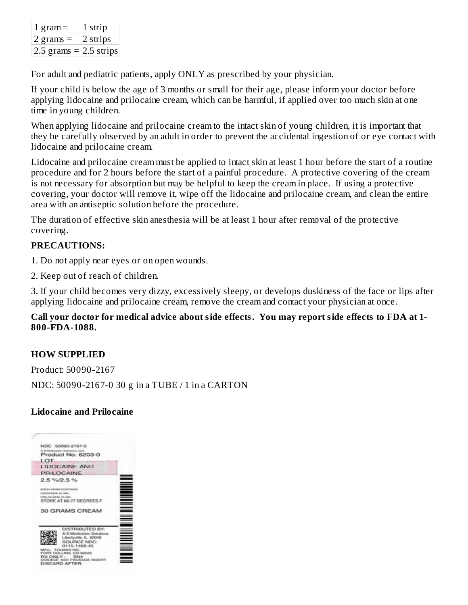| 1 gram $=$               | 1 strip  |
|--------------------------|----------|
| 2 grams $=$              | 2 strips |
| 2.5 grams $=$ 2.5 strips |          |

For adult and pediatric patients, apply ONLY as prescribed by your physician.

If your child is below the age of 3 months or small for their age, please inform your doctor before applying lidocaine and prilocaine cream, which can be harmful, if applied over too much skin at one time in young children.

When applying lidocaine and prilocaine cream to the intact skin of young children, it is important that they be carefully observed by an adult in order to prevent the accidental ingestion of or eye contact with lidocaine and prilocaine cream.

Lidocaine and prilocaine cream must be applied to intact skin at least 1 hour before the start of a routine procedure and for 2 hours before the start of a painful procedure. A protective covering of the cream is not necessary for absorption but may be helpful to keep the cream in place. If using a protective covering, your doctor will remove it, wipe off the lidocaine and prilocaine cream, and clean the entire area with an antiseptic solution before the procedure.

The duration of effective skin anesthesia will be at least 1 hour after removal of the protective covering.

### **PRECAUTIONS:**

- 1. Do not apply near eyes or on open wounds.
- 2. Keep out of reach of children.

3. If your child becomes very dizzy, excessively sleepy, or develops duskiness of the face or lips after applying lidocaine and prilocaine cream, remove the cream and contact your physician at once.

#### **Call your doctor for medical advice about side effects. You may report side effects to FDA at 1- 800-FDA-1088.**

### **HOW SUPPLIED**

Product: 50090-2167 NDC: 50090-2167-0 30 g in a TUBE / 1 in a CARTON

### **Lidocaine and Prilocaine**